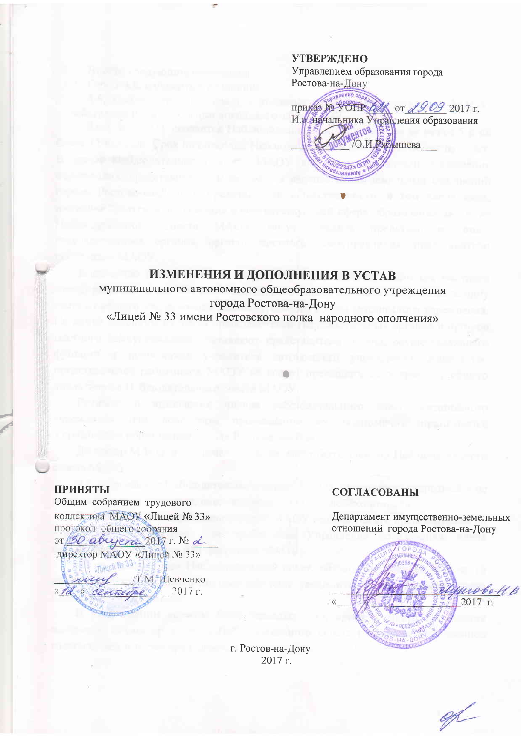**УТВЕРЖДЕНО** Управлением образования города Ростова-на-Дону приказ № УОНР ЕЖ от 29.09 2017 г. И. Аначальника Уцравления образования Е в<br>Вібрішева

## ИЗМЕНЕНИЯ И ДОПОЛНЕНИЯ В УСТАВ

муниципального автономного общеобразовательного учреждения города Ростова-на-Дону «Лицей № 33 имени Ростовского полка народного ополчения»

## ПРИНЯТЫ

Общим собранием трудового коллектива МАОУ «Лицей № 33» протокол общего собрания or 30 abrycra 2017 г. № 2 директор МАОУ «Лицей № 33» /Т.М. Шевченко « The centuryne 2017 г.

## СОГЛАСОВАНЫ

Департамент имущественно-земельных отношений города Ростова-на-Дону

 $2017$  r.

г. Ростов-на-Дону 2017 г.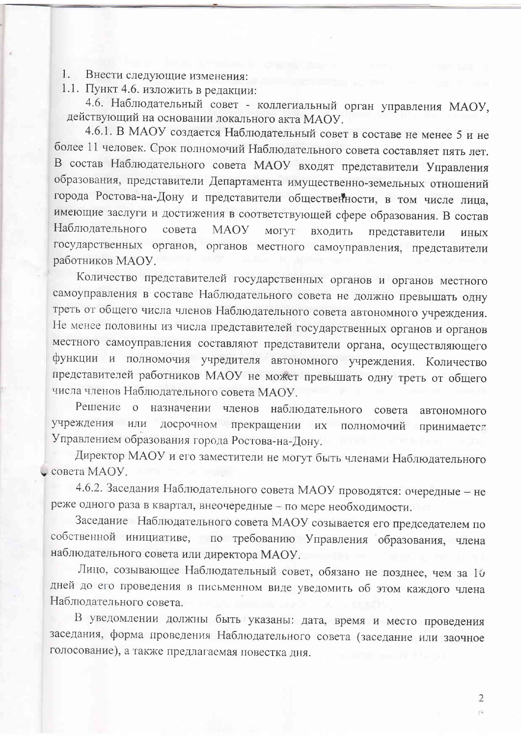1. Внести следующие изменения:

1.1. Пункт 4.6. изложить в редакции:

4.6. Наблюдательный совет - коллегиальный орган управления МАОУ, действующий на основании локального акта МАОУ.

4.6.1. В МАОУ создается Наблюдательный совет в составе не менее 5 и не более 11 человек. Срок полномочий Наблюдательного совета составляет пять лет. В состав Наблюдательного совета МАОУ входят представители Управления образования, представители Департамента имущественно-земельных отношений города Ростова-на-Дону и представители общественности, в том числе лица, имеющие заслуги и достижения в соответствующей сфере образования. В состав Наблюдательного совета **MAOY** входить МОГУТ представители **ИНЫХ** государственных органов, органов местного самоуправления, представители работников МАОУ.

Количество представителей государственных органов и органов местного самоуправления в составе Наблюдательного совета не должно превышать одну треть от общего числа членов Наблюдательного совета автономного учреждения. Не менее половины из числа представителей государственных органов и органов местного самоуправления составляют представители органа, осуществляющего функции и полномочия учредителя автономного учреждения. Количество представителей работников МАОУ не может превышать одну треть от общего числа членов Наблюдательного совета МАОУ.

Решение о назначении членов наблюдательного совета автономного учреждения или досрочном прекращении их полномочий принимается Управлением образования города Ростова-на-Дону.

Директор МАОУ и его заместители не могут быть членами Наблюдательного совета МАОУ.

4.6.2. Заседания Наблюдательного совета МАОУ проводятся: очередные - не реже одного раза в квартал, внеочередные - по мере необходимости.

Заседание Наблюдательного совета МАОУ созывается его председателем по собственной инициативе, по требованию Управления образования, члена наблюдательного совета или директора МАОУ.

Лицо, созывающее Наблюдательный совет, обязано не позднее, чем за 10 дней до его проведения в письменном виде уведомить об этом каждого члена Наблюдательного совета.

В уведомлении должны быть указаны: дата, время и место проведения заседания, форма проведения Наблюдательного совета (заседание или заочное голосование), а также предлагаемая повестка дня.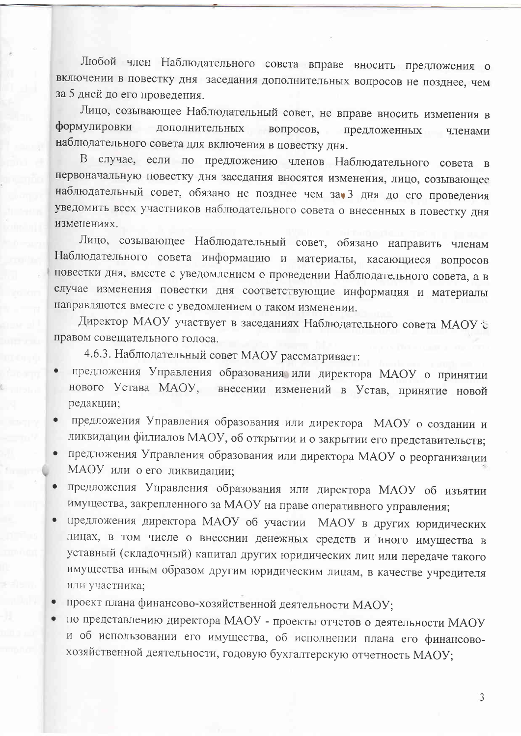Любой член Наблюдательного совета вправе вносить предложения о включении в повестку дня заседания дополнительных вопросов не позднее, чем за 5 дней до его проведения.

Лицо, созывающее Наблюдательный совет, не вправе вносить изменения в формулировки дополнительных вопросов, предложенных членами наблюдательного совета для включения в повестку дня.

В случае, если по предложению членов Наблюдательного совета в первоначальную повестку дня заседания вносятся изменения, лицо, созывающее наблюдательный совет, обязано не позднее чем за 3 дня до его проведения уведомить всех участников наблюдательного совета о внесенных в повестку дня изменениях.

Лицо, созывающее Наблюдательный совет, обязано направить членам Наблюдательного совета информацию и материалы, касающиеся вопросов повестки дня, вместе с уведомлением о проведении Наблюдательного совета, а в случае изменения повестки дня соответствующие информация и материалы направляются вместе с уведомлением о таком изменении.

Директор МАОУ участвует в заседаниях Наблюдательного совета МАОУ С правом совещательного голоса.

4.6.3. Наблюдательный совет МАОУ рассматривает:

- предложения Управления образования или директора МАОУ о принятии нового Устава МАОУ, внесении изменений в Устав, принятие новой редакции;
- предложения Управления образования или директора МАОУ о создании и ликвидации филиалов МАОУ, об открытии и о закрытии его представительств;
- предложения Управления образования или директора МАОУ о реорганизации МАОУ или о его ликвидации;
- предложения Управления образования или директора МАОУ об изъятии  $\bullet$ имущества, закрепленного за МАОУ на праве оперативного управления;
- предложения директора MAOУ об участии MAOУ в других юридических лицах, в том числе о внесении денежных средств и иного имущества в уставный (складочный) капитал других юридических лиц или передаче такого имущества иным образом другим юридическим лицам, в качестве учредителя или участника;
- проект плана финансово-хозяйственной деятельности МАОУ;
- по представлению директора МАОУ проекты отчетов о деятельности МАОУ и об использовании его имущества, об исполнении плана его финансовохозяйственной деятельности, годовую бухгалтерскую отчетность МАОУ;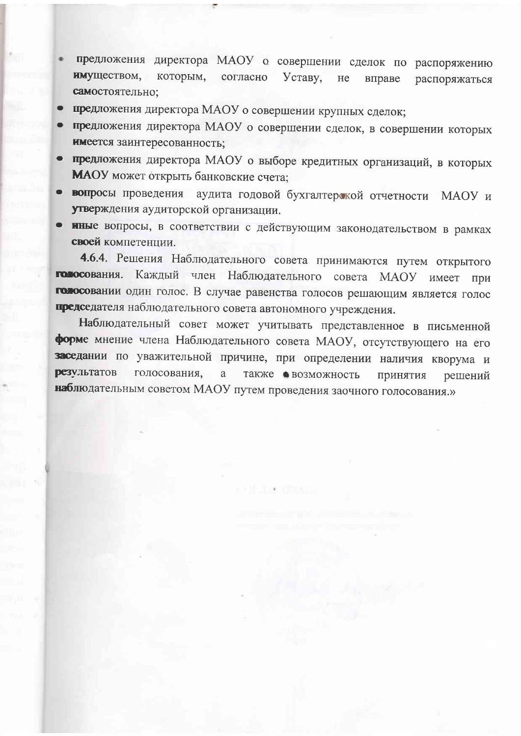- предложения директора МАОУ о совершении сделок по распоряжению имуществом, которым, согласно Уставу. He вправе распоряжаться самостоятельно:
- предложения директора МАОУ о совершении крупных сделок;
- предложения директора МАОУ о совершении сделок, в совершении которых имеется заинтересованность;
- предложения директора МАОУ о выборе кредитных организаций, в которых МАОУ может открыть банковские счета;
- вопросы проведения аудита годовой бухгалтерской отчетности МАОУ и утверждения аудиторской организации.
- иные вопросы, в соответствии с действующим законодательством в рамках своей компетенции.

4.6.4. Решения Наблюдательного совета принимаются путем открытого голосования. Каждый член Наблюдательного совета МАОУ имеет при голосовании один голос. В случае равенства голосов решающим является голос председателя наблюдательного совета автономного учреждения.

Наблюдательный совет может учитывать представленное в письменной форме мнение члена Наблюдательного совета МАОУ, отсутствующего на его заседании по уважительной причине, при определении наличия кворума и **результатов** голосования. a также • возможность принятия решений наблюдательным советом MAOУ путем проведения заочного голосования.»